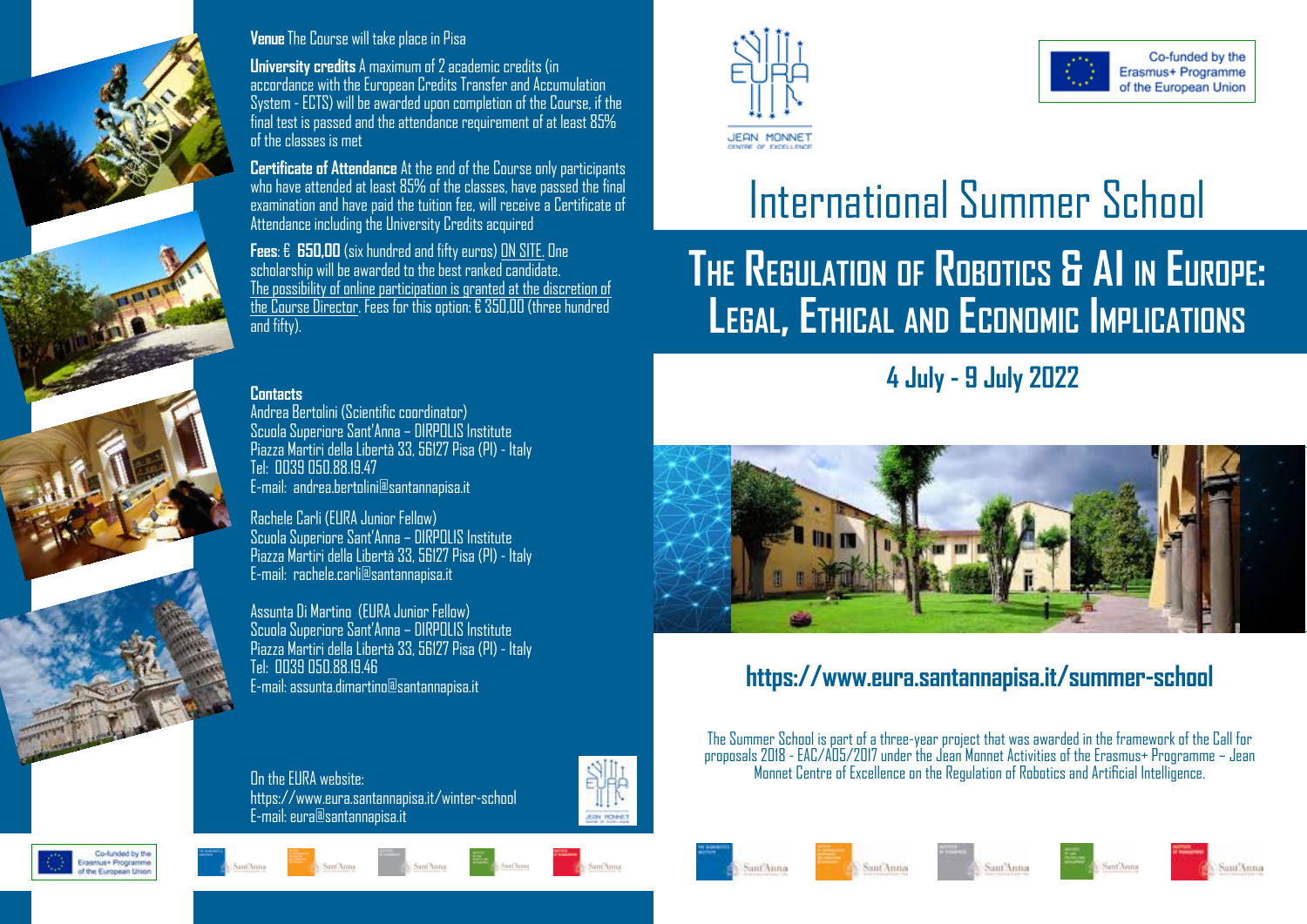

#### **Venue** The Course will take place in Pisa

**University credits** A maximum of 2 academic credits (in accordance with the European Credits Transfer and Accumulation System - ECTS) will be awarded upon completion of the Course, if the final test is passed and the attendance requirement of at least 85% of the classes is met

**Certificate of Attendance** At the end of the Course only participants who have attended at least 85% of the classes, have passed the final examination and have paid the tuition fee, will receive a Certificate of Attendance including the University Credits acquired

**Fees**: € **650,00** (six hundred and fifty euros) ON SITE. One scholarship will be awarded to the best ranked candidate. The possibility of online participation is granted at the discretion of the Course Director. Fees for this option: € 350,00 (three hundred and fifty)

#### **Contacts**

Andrea Bertolini (Scientific coordinator) Scuola Superiore Sant'Anna – DIRPOLIS Institute Piazza Martiri della Libertà 33, 56127 Pisa (PI) - Italy Tel: 0039 050.88.19.47 E-mail: andrea.bertolini@santannapisa.it

Rachele Carli (EURA Junior Fellow) Scuola Superiore Sant'Anna – DIRPOLIS Institute Piazza Martiri della Libertà 33, 56127 Pisa (PI) - Italy E-mail: rachele.carli@santannapisa.it

Assunta Di Martino (EURA Junior Fellow) Scuola Superiore Sant'Anna – DIRPOLIS Institute Piazza Martiri della Libertà 33, 56127 Pisa (PI) - Italy Tel: 0039 050.88.19.46 E-mail: assunta.dimartino@santannapisa.it

On the EURA website: https://www.eura.santannapisa.it/winter-school E-mail: eura@santannapisa.it















International Summer School

# **The Regulation of Robotics & AI in Europe: Legal, Ethical and Economic Implications**

**4 July - 9 July 2022**



#### **https://www.eura.santannapisa.it/summer-school**

The Summer School is part of a three-year project that was awarded in the framework of the Call for proposals 2018 - EAC/A05/2017 under the Jean Monnet Activities of the Erasmus+ Programme – Jean Monnet Centre of Excellence on the Regulation of Robotics and Artificial Intelligence.